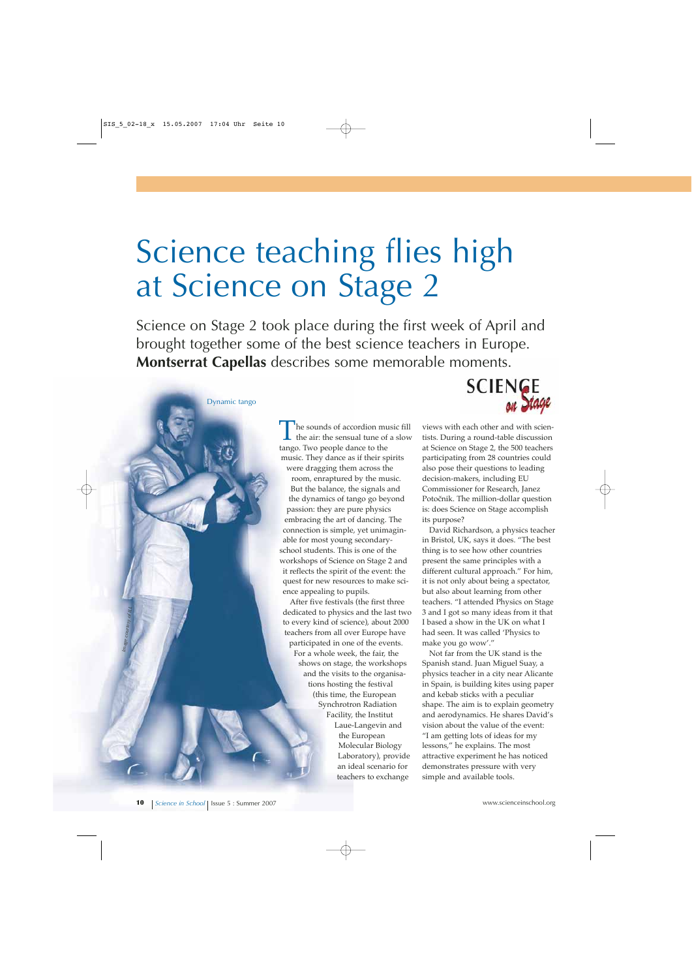## Science teaching flies high at Science on Stage 2

Science on Stage 2 took place during the first week of April and brought together some of the best science teachers in Europe. **Montserrat Capellas** describes some memorable moments.

> The sounds of accordion music fill<br>the air: the sensual tune of a slow<br>tange. Tug people dange to the tango. Two people dance to the music. They dance as if their spirits were dragging them across the room, enraptured by the music. But the balance, the signals and the dynamics of tango go beyond passion: they are pure physics embracing the art of dancing. The connection is simple, yet unimaginable for most young secondaryschool students. This is one of the workshops of Science on Stage 2 and it reflects the spirit of the event: the quest for new resources to make science appealing to pupils.

After five festivals (the first three dedicated to physics and the last two to every kind of science), about 2000 teachers from all over Europe have participated in one of the events. For a whole week, the fair, the shows on stage, the workshops and the visits to the organisations hosting the festival (this time, the European Synchrotron Radiation Facility, the Institut Laue-Langevin and the European Molecular Biology Laboratory), provide an ideal scenario for

teachers to exchange



views with each other and with scientists. During a round-table discussion at Science on Stage 2, the 500 teachers participating from 28 countries could also pose their questions to leading decision-makers, including EU Commissioner for Research, Janez Potočnik. The million-dollar question is: does Science on Stage accomplish its purpose?

David Richardson, a physics teacher in Bristol, UK, says it does. "The best thing is to see how other countries present the same principles with a different cultural approach." For him, it is not only about being a spectator, but also about learning from other teachers. "I attended Physics on Stage 3 and I got so many ideas from it that I based a show in the UK on what I had seen. It was called 'Physics to make you go wow'."

Not far from the UK stand is the Spanish stand. Juan Miguel Suay, a physics teacher in a city near Alicante in Spain, is building kites using paper and kebab sticks with a peculiar shape. The aim is to explain geometry and aerodynamics. He shares David's vision about the value of the event: "I am getting lots of ideas for my lessons," he explains. The most attractive experiment he has noticed demonstrates pressure with very simple and available tools.

*Image courtesy of ILL*

Dynamic tango